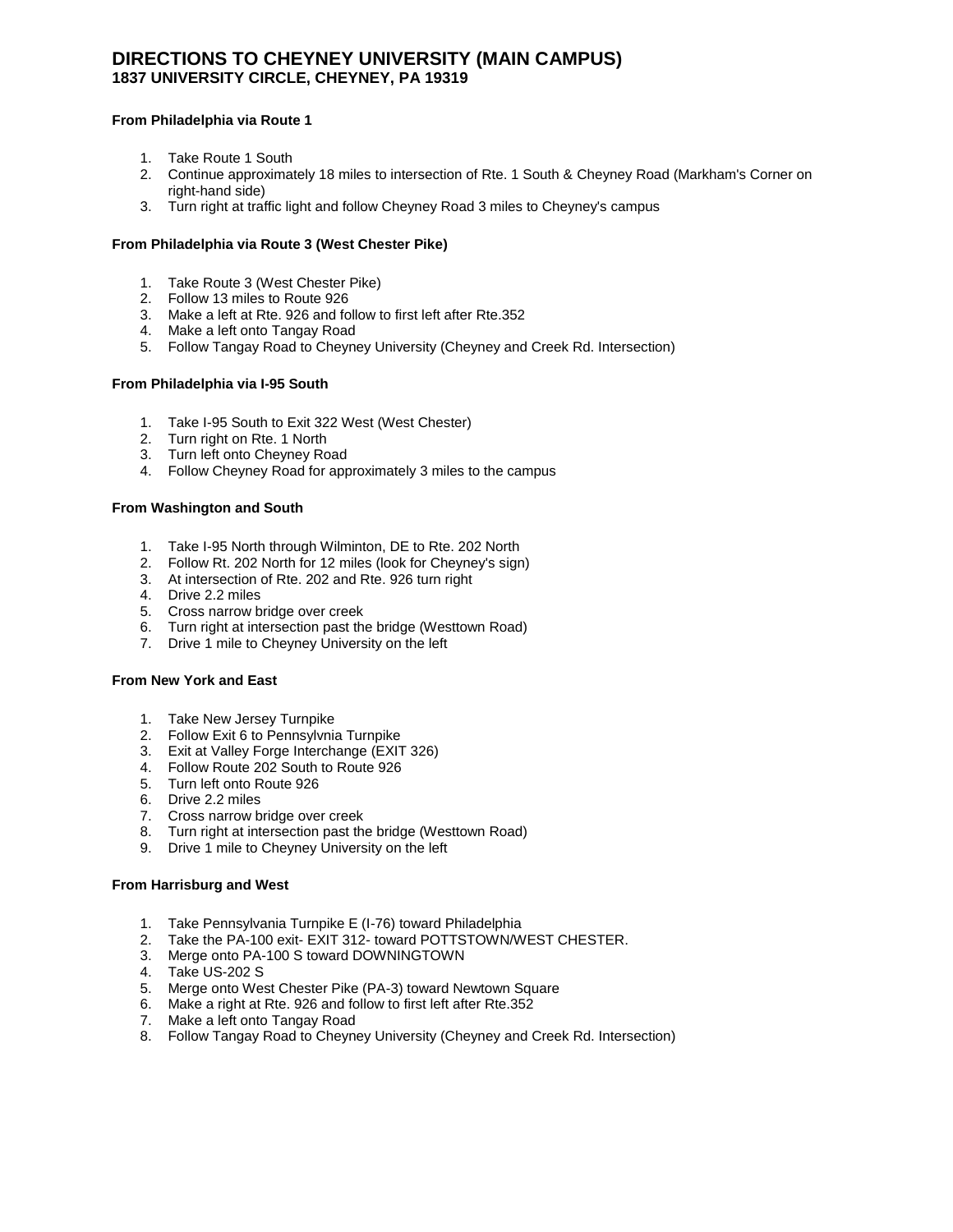# **DIRECTIONS TO CHEYNEY UNIVERSITY (MAIN CAMPUS) 1837 UNIVERSITY CIRCLE, CHEYNEY, PA 19319**

# **From Philadelphia via Route 1**

- 1. Take Route 1 South
- 2. Continue approximately 18 miles to intersection of Rte. 1 South & Cheyney Road (Markham's Corner on right-hand side)
- 3. Turn right at traffic light and follow Cheyney Road 3 miles to Cheyney's campus

## **From Philadelphia via Route 3 (West Chester Pike)**

- 1. Take Route 3 (West Chester Pike)
- 2. Follow 13 miles to Route 926
- 3. Make a left at Rte. 926 and follow to first left after Rte.352
- 4. Make a left onto Tangay Road
- 5. Follow Tangay Road to Cheyney University (Cheyney and Creek Rd. Intersection)

### **From Philadelphia via I-95 South**

- 1. Take I-95 South to Exit 322 West (West Chester)
- 2. Turn right on Rte. 1 North
- 3. Turn left onto Cheyney Road
- 4. Follow Cheyney Road for approximately 3 miles to the campus

## **From Washington and South**

- 1. Take I-95 North through Wilminton, DE to Rte. 202 North
- 2. Follow Rt. 202 North for 12 miles (look for Cheyney's sign)
- 3. At intersection of Rte. 202 and Rte. 926 turn right
- 4. Drive 2.2 miles
- 5. Cross narrow bridge over creek
- 6. Turn right at intersection past the bridge (Westtown Road)
- 7. Drive 1 mile to Cheyney University on the left

#### **From New York and East**

- 1. Take New Jersey Turnpike
- 2. Follow Exit 6 to Pennsylvnia Turnpike
- 3. Exit at Valley Forge Interchange (EXIT 326)
- 4. Follow Route 202 South to Route 926
- 5. Turn left onto Route 926
- 6. Drive 2.2 miles
- 7. Cross narrow bridge over creek
- 8. Turn right at intersection past the bridge (Westtown Road)
- 9. Drive 1 mile to Cheyney University on the left

#### **From Harrisburg and West**

- 1. Take Pennsylvania Turnpike E (I-76) toward Philadelphia
- 2. Take the PA-100 exit- EXIT 312- toward POTTSTOWN/WEST CHESTER.
- 3. Merge onto PA-100 S toward DOWNINGTOWN
- 4. Take US-202 S
- 5. Merge onto West Chester Pike (PA-3) toward Newtown Square
- 6. Make a right at Rte. 926 and follow to first left after Rte.352
- 7. Make a left onto Tangay Road
- 8. Follow Tangay Road to Cheyney University (Cheyney and Creek Rd. Intersection)